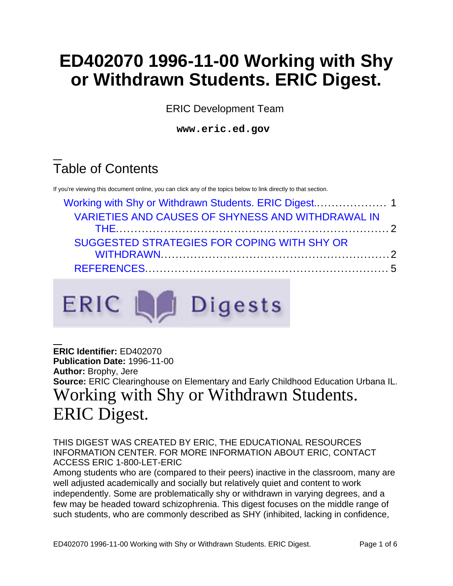# **ED402070 1996-11-00 Working with Shy or Withdrawn Students. ERIC Digest.**

ERIC Development Team

**www.eric.ed.gov**

## Table of Contents

If you're viewing this document online, you can click any of the topics below to link directly to that section.

| <b>VARIETIES AND CAUSES OF SHYNESS AND WITHDRAWAL IN</b> |  |
|----------------------------------------------------------|--|
|                                                          |  |
| SUGGESTED STRATEGIES FOR COPING WITH SHY OR              |  |
|                                                          |  |
|                                                          |  |



<span id="page-0-0"></span>**ERIC Identifier:** ED402070 **Publication Date:** 1996-11-00 **Author:** Brophy, Jere **Source:** ERIC Clearinghouse on Elementary and Early Childhood Education Urbana IL. Working with Shy or Withdrawn Students. ERIC Digest.

THIS DIGEST WAS CREATED BY ERIC, THE EDUCATIONAL RESOURCES INFORMATION CENTER. FOR MORE INFORMATION ABOUT ERIC, CONTACT ACCESS ERIC 1-800-LET-ERIC

Among students who are (compared to their peers) inactive in the classroom, many are well adjusted academically and socially but relatively quiet and content to work independently. Some are problematically shy or withdrawn in varying degrees, and a few may be headed toward schizophrenia. This digest focuses on the middle range of such students, who are commonly described as SHY (inhibited, lacking in confidence,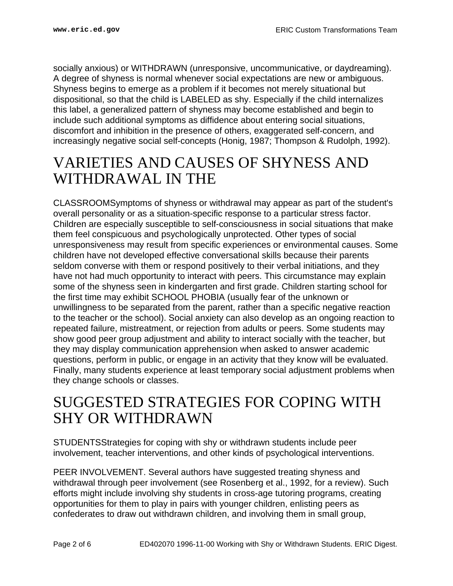socially anxious) or WITHDRAWN (unresponsive, uncommunicative, or daydreaming). A degree of shyness is normal whenever social expectations are new or ambiguous. Shyness begins to emerge as a problem if it becomes not merely situational but dispositional, so that the child is LABELED as shy. Especially if the child internalizes this label, a generalized pattern of shyness may become established and begin to include such additional symptoms as diffidence about entering social situations, discomfort and inhibition in the presence of others, exaggerated self-concern, and increasingly negative social self-concepts (Honig, 1987; Thompson & Rudolph, 1992).

#### <span id="page-1-0"></span>VARIETIES AND CAUSES OF SHYNESS AND WITHDRAWAL IN THE

CLASSROOMSymptoms of shyness or withdrawal may appear as part of the student's overall personality or as a situation-specific response to a particular stress factor. Children are especially susceptible to self-consciousness in social situations that make them feel conspicuous and psychologically unprotected. Other types of social unresponsiveness may result from specific experiences or environmental causes. Some children have not developed effective conversational skills because their parents seldom converse with them or respond positively to their verbal initiations, and they have not had much opportunity to interact with peers. This circumstance may explain some of the shyness seen in kindergarten and first grade. Children starting school for the first time may exhibit SCHOOL PHOBIA (usually fear of the unknown or unwillingness to be separated from the parent, rather than a specific negative reaction to the teacher or the school). Social anxiety can also develop as an ongoing reaction to repeated failure, mistreatment, or rejection from adults or peers. Some students may show good peer group adjustment and ability to interact socially with the teacher, but they may display communication apprehension when asked to answer academic questions, perform in public, or engage in an activity that they know will be evaluated. Finally, many students experience at least temporary social adjustment problems when they change schools or classes.

#### <span id="page-1-1"></span>SUGGESTED STRATEGIES FOR COPING WITH SHY OR WITHDRAWN

STUDENTSStrategies for coping with shy or withdrawn students include peer involvement, teacher interventions, and other kinds of psychological interventions.

PEER INVOLVEMENT. Several authors have suggested treating shyness and withdrawal through peer involvement (see Rosenberg et al., 1992, for a review). Such efforts might include involving shy students in cross-age tutoring programs, creating opportunities for them to play in pairs with younger children, enlisting peers as confederates to draw out withdrawn children, and involving them in small group,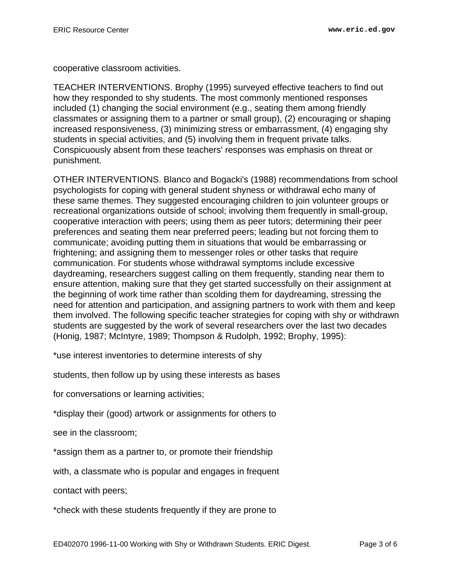cooperative classroom activities.

TEACHER INTERVENTIONS. Brophy (1995) surveyed effective teachers to find out how they responded to shy students. The most commonly mentioned responses included (1) changing the social environment (e.g., seating them among friendly classmates or assigning them to a partner or small group), (2) encouraging or shaping increased responsiveness, (3) minimizing stress or embarrassment, (4) engaging shy students in special activities, and (5) involving them in frequent private talks. Conspicuously absent from these teachers' responses was emphasis on threat or punishment.

OTHER INTERVENTIONS. Blanco and Bogacki's (1988) recommendations from school psychologists for coping with general student shyness or withdrawal echo many of these same themes. They suggested encouraging children to join volunteer groups or recreational organizations outside of school; involving them frequently in small-group, cooperative interaction with peers; using them as peer tutors; determining their peer preferences and seating them near preferred peers; leading but not forcing them to communicate; avoiding putting them in situations that would be embarrassing or frightening; and assigning them to messenger roles or other tasks that require communication. For students whose withdrawal symptoms include excessive daydreaming, researchers suggest calling on them frequently, standing near them to ensure attention, making sure that they get started successfully on their assignment at the beginning of work time rather than scolding them for daydreaming, stressing the need for attention and participation, and assigning partners to work with them and keep them involved. The following specific teacher strategies for coping with shy or withdrawn students are suggested by the work of several researchers over the last two decades (Honig, 1987; McIntyre, 1989; Thompson & Rudolph, 1992; Brophy, 1995):

\*use interest inventories to determine interests of shy

students, then follow up by using these interests as bases

for conversations or learning activities;

\*display their (good) artwork or assignments for others to

see in the classroom;

\*assign them as a partner to, or promote their friendship

with, a classmate who is popular and engages in frequent

contact with peers;

\*check with these students frequently if they are prone to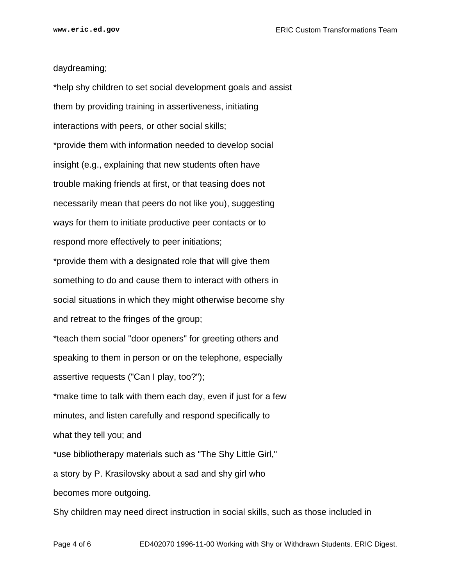daydreaming;

\*help shy children to set social development goals and assist them by providing training in assertiveness, initiating interactions with peers, or other social skills; \*provide them with information needed to develop social insight (e.g., explaining that new students often have trouble making friends at first, or that teasing does not necessarily mean that peers do not like you), suggesting ways for them to initiate productive peer contacts or to respond more effectively to peer initiations; \*provide them with a designated role that will give them something to do and cause them to interact with others in social situations in which they might otherwise become shy and retreat to the fringes of the group; \*teach them social "door openers" for greeting others and speaking to them in person or on the telephone, especially assertive requests ("Can I play, too?"); \*make time to talk with them each day, even if just for a few minutes, and listen carefully and respond specifically to what they tell you; and \*use bibliotherapy materials such as "The Shy Little Girl," a story by P. Krasilovsky about a sad and shy girl who becomes more outgoing. Shy children may need direct instruction in social skills, such as those included in

Page 4 of 6 ED402070 1996-11-00 Working with Shy or Withdrawn Students. ERIC Digest.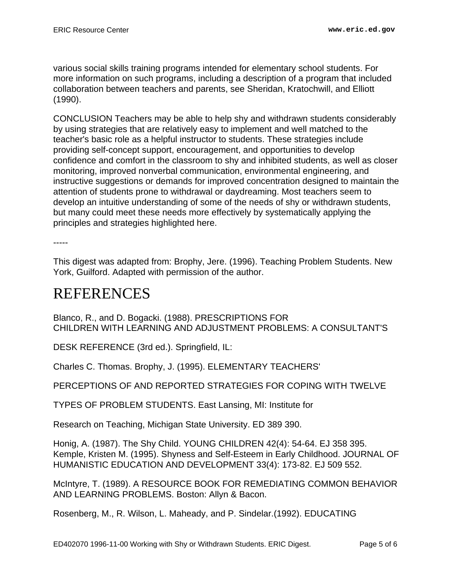various social skills training programs intended for elementary school students. For more information on such programs, including a description of a program that included collaboration between teachers and parents, see Sheridan, Kratochwill, and Elliott (1990).

CONCLUSION Teachers may be able to help shy and withdrawn students considerably by using strategies that are relatively easy to implement and well matched to the teacher's basic role as a helpful instructor to students. These strategies include providing self-concept support, encouragement, and opportunities to develop confidence and comfort in the classroom to shy and inhibited students, as well as closer monitoring, improved nonverbal communication, environmental engineering, and instructive suggestions or demands for improved concentration designed to maintain the attention of students prone to withdrawal or daydreaming. Most teachers seem to develop an intuitive understanding of some of the needs of shy or withdrawn students, but many could meet these needs more effectively by systematically applying the principles and strategies highlighted here.

-----

This digest was adapted from: Brophy, Jere. (1996). Teaching Problem Students. New York, Guilford. Adapted with permission of the author.

### <span id="page-4-0"></span>REFERENCES

Blanco, R., and D. Bogacki. (1988). PRESCRIPTIONS FOR CHILDREN WITH LEARNING AND ADJUSTMENT PROBLEMS: A CONSULTANT'S

DESK REFERENCE (3rd ed.). Springfield, IL:

Charles C. Thomas. Brophy, J. (1995). ELEMENTARY TEACHERS'

PERCEPTIONS OF AND REPORTED STRATEGIES FOR COPING WITH TWELVE

TYPES OF PROBLEM STUDENTS. East Lansing, MI: Institute for

Research on Teaching, Michigan State University. ED 389 390.

Honig, A. (1987). The Shy Child. YOUNG CHILDREN 42(4): 54-64. EJ 358 395. Kemple, Kristen M. (1995). Shyness and Self-Esteem in Early Childhood. JOURNAL OF HUMANISTIC EDUCATION AND DEVELOPMENT 33(4): 173-82. EJ 509 552.

McIntyre, T. (1989). A RESOURCE BOOK FOR REMEDIATING COMMON BEHAVIOR AND LEARNING PROBLEMS. Boston: Allyn & Bacon.

Rosenberg, M., R. Wilson, L. Maheady, and P. Sindelar.(1992). EDUCATING